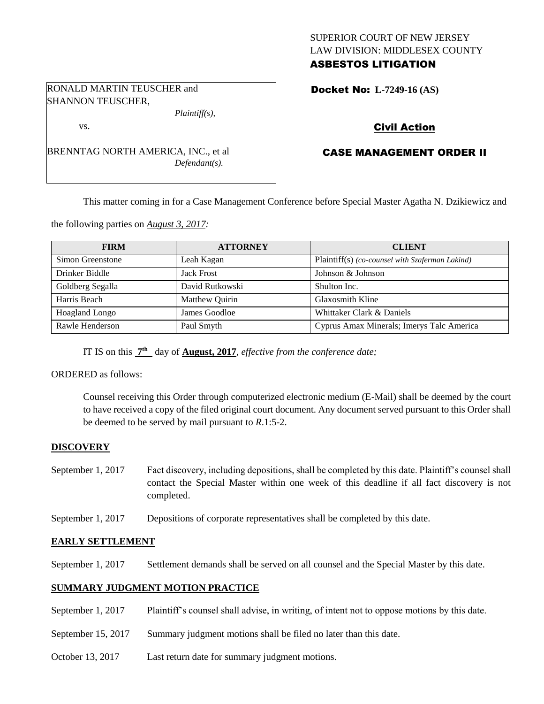# SUPERIOR COURT OF NEW JERSEY LAW DIVISION: MIDDLESEX COUNTY ASBESTOS LITIGATION

Docket No: **L-7249-16 (AS)** 

# Civil Action

# CASE MANAGEMENT ORDER II

This matter coming in for a Case Management Conference before Special Master Agatha N. Dzikiewicz and

the following parties on *August 3, 2017:*

BRENNTAG NORTH AMERICA, INC., et al

RONALD MARTIN TEUSCHER and

*Plaintiff(s),*

*Defendant(s).*

SHANNON TEUSCHER,

vs.

| <b>FIRM</b>      | <b>ATTORNEY</b>   | <b>CLIENT</b>                                   |
|------------------|-------------------|-------------------------------------------------|
| Simon Greenstone | Leah Kagan        | Plaintiff(s) (co-counsel with Szaferman Lakind) |
| Drinker Biddle   | <b>Jack Frost</b> | Johnson & Johnson                               |
| Goldberg Segalla | David Rutkowski   | Shulton Inc.                                    |
| Harris Beach     | Matthew Quirin    | <b>Glaxosmith Kline</b>                         |
| Hoagland Longo   | James Goodloe     | Whittaker Clark & Daniels                       |
| Rawle Henderson  | Paul Smyth        | Cyprus Amax Minerals; Imerys Talc America       |

IT IS on this  $\frac{7^{\text{th}}}{7^{\text{th}}}$  day of **August, 2017**, *effective from the conference date*;

ORDERED as follows:

Counsel receiving this Order through computerized electronic medium (E-Mail) shall be deemed by the court to have received a copy of the filed original court document. Any document served pursuant to this Order shall be deemed to be served by mail pursuant to *R*.1:5-2.

# **DISCOVERY**

- September 1, 2017 Fact discovery, including depositions, shall be completed by this date. Plaintiff's counsel shall contact the Special Master within one week of this deadline if all fact discovery is not completed.
- September 1, 2017 Depositions of corporate representatives shall be completed by this date.

## **EARLY SETTLEMENT**

September 1, 2017 Settlement demands shall be served on all counsel and the Special Master by this date.

## **SUMMARY JUDGMENT MOTION PRACTICE**

- September 1, 2017 Plaintiff's counsel shall advise, in writing, of intent not to oppose motions by this date.
- September 15, 2017 Summary judgment motions shall be filed no later than this date.
- October 13, 2017 Last return date for summary judgment motions.